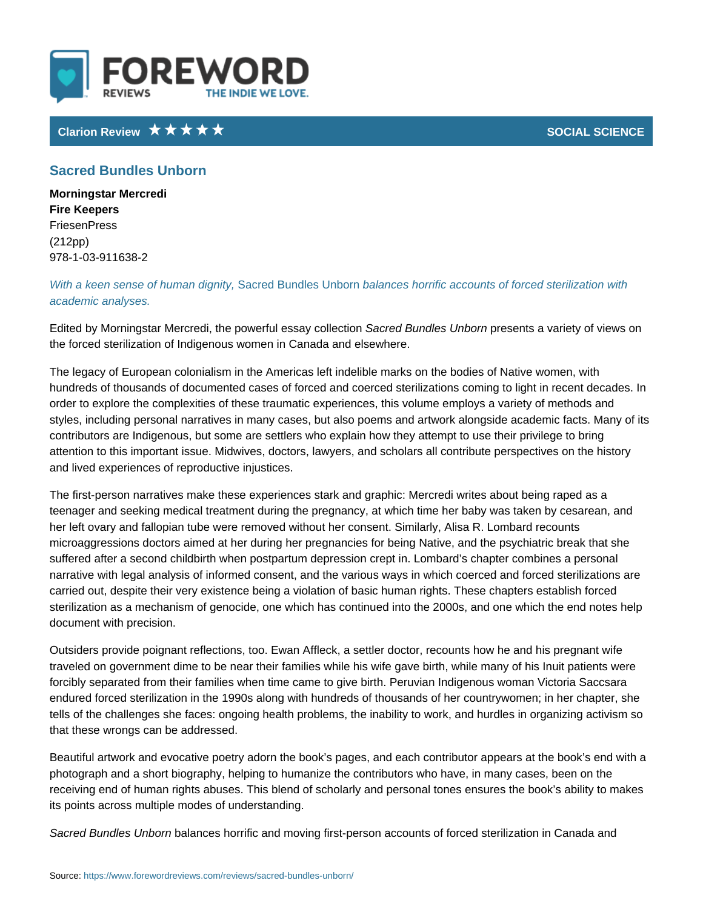## Clarion Review Network Clarion Review Network Clarion SOCIAL SCIE

## Sacred Bundles Unborn

Morningstar Mercredi Fire Keepers FriesenPress (212pp) 978-1-03-911638-2

With a keen sense of h**GmanediBuntoles Landores** horrific accounts of forced ster academic analyses.

Edited by Morningstar Mercredi, the posweecrfead eBsusmadylecsoptUlrene disterion a variety of view the forced sterilization of Indigenous women in Canada and elsewhere.

The legacy of European colonialism in the Americas left indelible marks on the hundreds of thousands of documented cases of forced and coerced sterilization order to explore the complexities of these traumatic experiences, this volume e styles, including personal narratives in many cases, but also poems and artwor contributors are Indigenous, but some are settlers who explain how they attemp attention to this important issue. Midwives, doctors, lawyers, and scholars all c and lived experiences of reproductive injustices.

The first-person narratives make these experiences stark and graphic: Mercredi teenager and seeking medical treatment during the pregnancy, at which time he her left ovary and fallopian tube were removed without her consent. Similarly, , microaggressions doctors aimed at her during her pregnancies for being Native, suffered after a second childbirth when postpartum depression crept in. Lombar narrative with legal analysis of informed consent, and the various ways in whic carried out, despite their very existence being a violation of basic human right: sterilization as a mechanism of genocide, one which has continued into the 200 document with precision.

Outsiders provide poignant reflections, too. Ewan Affleck, a settler doctor, reco traveled on government dime to be near their families while his wife gave birth, forcibly separated from their families when time came to give birth. Peruvian In endured forced sterilization in the 1990s along with hundreds of thousands of h tells of the challenges she faces: ongoing health problems, the inability to wor that these wrongs can be addressed.

Beautiful artwork and evocative poetry adorn the book s pages, and each contri photograph and a short biography, helping to humanize the contributors who ha receiving end of human rights abuses. This blend of scholarly and personal ton its points across multiple modes of understanding.

Sacred Bundles *balan bacnes* horrific and moving first-person accounts of forced ste